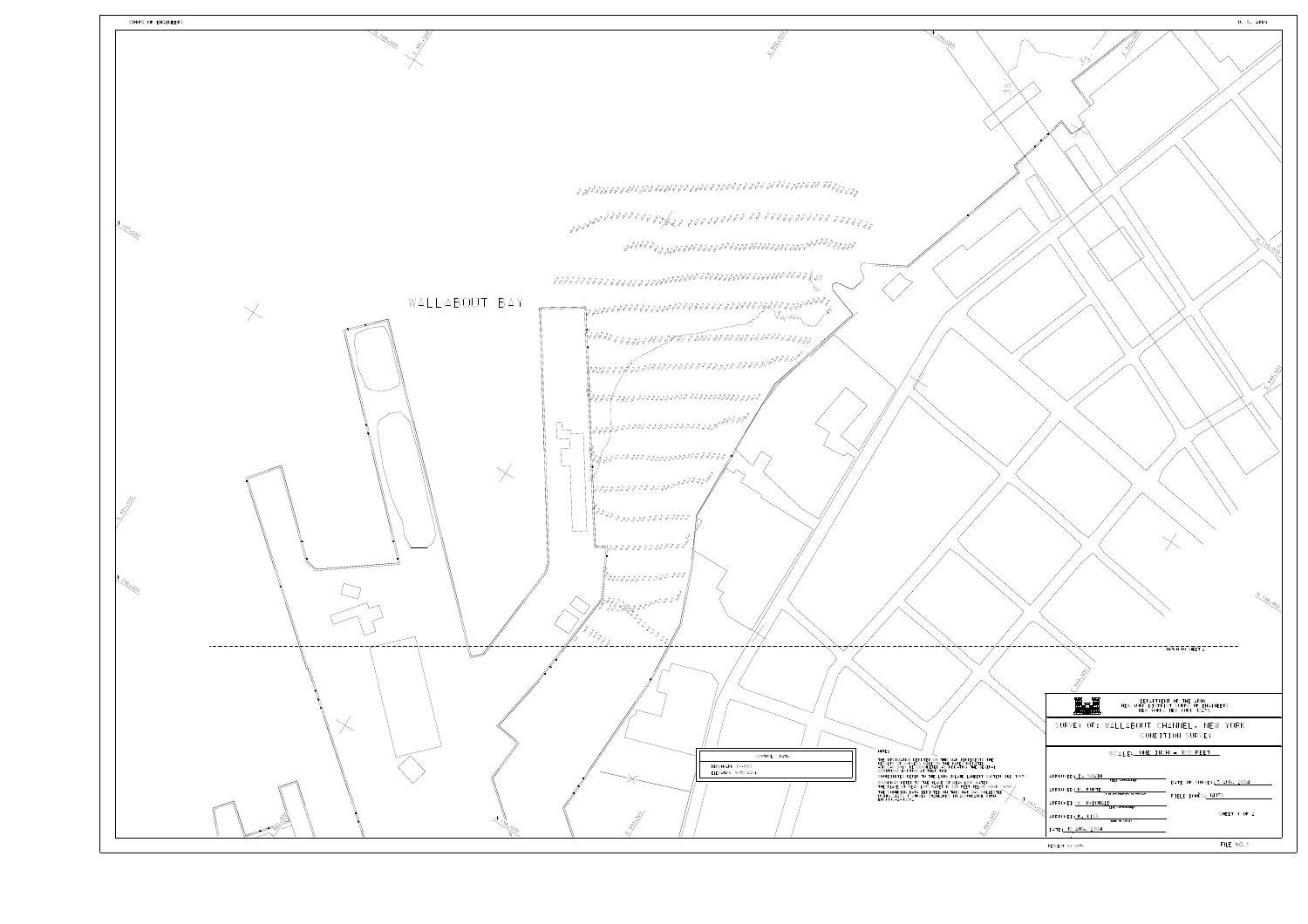